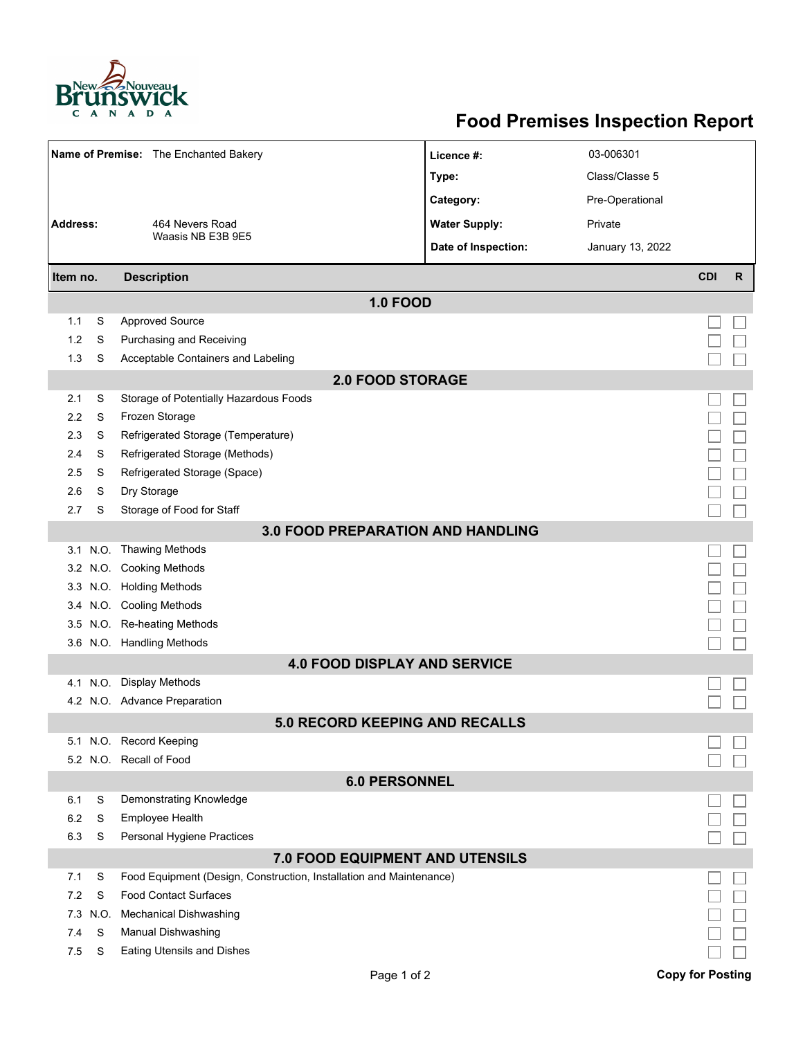

## **Food Premises Inspection Report**

|                                          |      | Name of Premise: The Enchanted Bakery                               | Licence #:           | 03-006301        |                         |              |  |  |  |  |
|------------------------------------------|------|---------------------------------------------------------------------|----------------------|------------------|-------------------------|--------------|--|--|--|--|
|                                          |      |                                                                     | Type:                | Class/Classe 5   |                         |              |  |  |  |  |
|                                          |      |                                                                     | Category:            | Pre-Operational  |                         |              |  |  |  |  |
| <b>Address:</b>                          |      | 464 Nevers Road                                                     | <b>Water Supply:</b> | Private          |                         |              |  |  |  |  |
|                                          |      | Waasis NB E3B 9E5                                                   | Date of Inspection:  | January 13, 2022 |                         |              |  |  |  |  |
|                                          |      |                                                                     |                      |                  |                         |              |  |  |  |  |
| Item no.                                 |      | <b>Description</b>                                                  |                      |                  | <b>CDI</b>              | $\mathsf{R}$ |  |  |  |  |
|                                          |      | <b>1.0 FOOD</b>                                                     |                      |                  |                         |              |  |  |  |  |
| 1.1                                      | S    | <b>Approved Source</b>                                              |                      |                  |                         |              |  |  |  |  |
| 1.2                                      | S    | Purchasing and Receiving                                            |                      |                  |                         |              |  |  |  |  |
| 1.3                                      | S    | Acceptable Containers and Labeling                                  |                      |                  |                         |              |  |  |  |  |
| <b>2.0 FOOD STORAGE</b>                  |      |                                                                     |                      |                  |                         |              |  |  |  |  |
| 2.1                                      | S    | Storage of Potentially Hazardous Foods                              |                      |                  |                         |              |  |  |  |  |
| 2.2                                      | S    | Frozen Storage                                                      |                      |                  |                         |              |  |  |  |  |
| 2.3                                      | S    | Refrigerated Storage (Temperature)                                  |                      |                  |                         |              |  |  |  |  |
| 2.4                                      | S    | Refrigerated Storage (Methods)                                      |                      |                  |                         |              |  |  |  |  |
| 2.5                                      | S    | Refrigerated Storage (Space)                                        |                      |                  |                         |              |  |  |  |  |
| 2.6                                      | S    | Dry Storage                                                         |                      |                  |                         |              |  |  |  |  |
| 2.7                                      | S    | Storage of Food for Staff                                           |                      |                  |                         |              |  |  |  |  |
| <b>3.0 FOOD PREPARATION AND HANDLING</b> |      |                                                                     |                      |                  |                         |              |  |  |  |  |
|                                          |      | 3.1 N.O. Thawing Methods                                            |                      |                  |                         |              |  |  |  |  |
|                                          |      | 3.2 N.O. Cooking Methods                                            |                      |                  |                         |              |  |  |  |  |
|                                          |      | 3.3 N.O. Holding Methods                                            |                      |                  |                         |              |  |  |  |  |
|                                          |      | 3.4 N.O. Cooling Methods                                            |                      |                  |                         |              |  |  |  |  |
| 3.5                                      |      | N.O. Re-heating Methods                                             |                      |                  |                         |              |  |  |  |  |
|                                          |      | 3.6 N.O. Handling Methods                                           |                      |                  |                         |              |  |  |  |  |
|                                          |      | <b>4.0 FOOD DISPLAY AND SERVICE</b>                                 |                      |                  |                         |              |  |  |  |  |
|                                          |      | 4.1 N.O. Display Methods                                            |                      |                  |                         |              |  |  |  |  |
|                                          |      | 4.2 N.O. Advance Preparation                                        |                      |                  |                         |              |  |  |  |  |
|                                          |      | 5.0 RECORD KEEPING AND RECALLS                                      |                      |                  |                         |              |  |  |  |  |
|                                          |      | 5.1 N.O. Record Keeping                                             |                      |                  |                         |              |  |  |  |  |
|                                          |      | 5.2 N.O. Recall of Food                                             |                      |                  |                         |              |  |  |  |  |
| <b>6.0 PERSONNEL</b>                     |      |                                                                     |                      |                  |                         |              |  |  |  |  |
| 6.1                                      | S    | Demonstrating Knowledge                                             |                      |                  |                         |              |  |  |  |  |
| 6.2                                      | S    | Employee Health                                                     |                      |                  |                         |              |  |  |  |  |
| 6.3                                      | S    | Personal Hygiene Practices                                          |                      |                  |                         |              |  |  |  |  |
| 7.0 FOOD EQUIPMENT AND UTENSILS          |      |                                                                     |                      |                  |                         |              |  |  |  |  |
| 7.1                                      | S    | Food Equipment (Design, Construction, Installation and Maintenance) |                      |                  |                         |              |  |  |  |  |
| 7.2                                      | S    | <b>Food Contact Surfaces</b>                                        |                      |                  |                         |              |  |  |  |  |
| 7.3                                      | N.O. | <b>Mechanical Dishwashing</b>                                       |                      |                  |                         |              |  |  |  |  |
| 7.4                                      | S    | Manual Dishwashing                                                  |                      |                  |                         |              |  |  |  |  |
| 7.5                                      | S    | <b>Eating Utensils and Dishes</b>                                   |                      |                  |                         |              |  |  |  |  |
|                                          |      | Page 1 of 2                                                         |                      |                  | <b>Copy for Posting</b> |              |  |  |  |  |